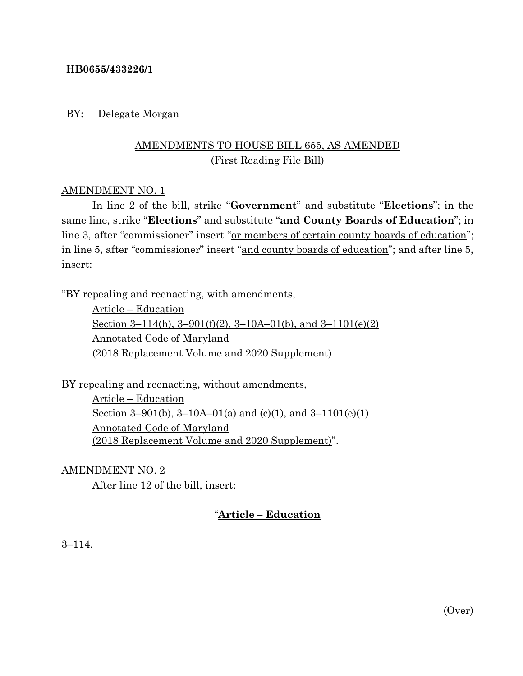## **HB0655/433226/1**

## BY: Delegate Morgan

## AMENDMENTS TO HOUSE BILL 655, AS AMENDED (First Reading File Bill)

## AMENDMENT NO. 1

In line 2 of the bill, strike "**Government**" and substitute "**Elections**"; in the same line, strike "**Elections**" and substitute "**and County Boards of Education**"; in line 3, after "commissioner" insert "or members of certain county boards of education"; in line 5, after "commissioner" insert "and county boards of education"; and after line 5, insert:

"BY repealing and reenacting, with amendments,

Article – Education Section 3–114(h),  $3-901(f)(2)$ ,  $3-10A-01(b)$ , and  $3-1101(e)(2)$ Annotated Code of Maryland (2018 Replacement Volume and 2020 Supplement)

BY repealing and reenacting, without amendments, Article – Education Section 3–901(b), 3–10A–01(a) and (c)(1), and 3–1101(e)(1) Annotated Code of Maryland (2018 Replacement Volume and 2020 Supplement)".

AMENDMENT NO. 2

After line 12 of the bill, insert:

## "**Article – Education**

3–114.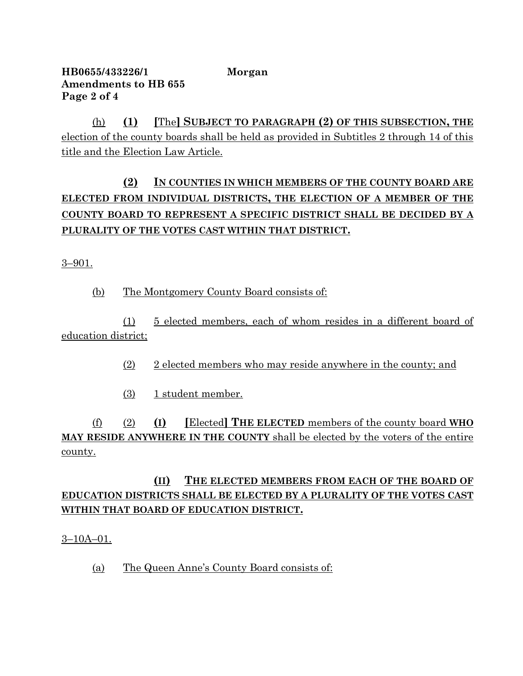## **HB0655/433226/1 Morgan Amendments to HB 655 Page 2 of 4**

(h) **(1) [**The**] SUBJECT TO PARAGRAPH (2) OF THIS SUBSECTION, THE** election of the county boards shall be held as provided in Subtitles 2 through 14 of this title and the Election Law Article.

# **(2) IN COUNTIES IN WHICH MEMBERS OF THE COUNTY BOARD ARE ELECTED FROM INDIVIDUAL DISTRICTS, THE ELECTION OF A MEMBER OF THE COUNTY BOARD TO REPRESENT A SPECIFIC DISTRICT SHALL BE DECIDED BY A PLURALITY OF THE VOTES CAST WITHIN THAT DISTRICT.**

3–901.

(b) The Montgomery County Board consists of:

(1) 5 elected members, each of whom resides in a different board of education district;

- (2) 2 elected members who may reside anywhere in the county; and
- (3) 1 student member.

(f) (2) **(I) [**Elected**] THE ELECTED** members of the county board **WHO MAY RESIDE ANYWHERE IN THE COUNTY** shall be elected by the voters of the entire county.

# **(II) THE ELECTED MEMBERS FROM EACH OF THE BOARD OF EDUCATION DISTRICTS SHALL BE ELECTED BY A PLURALITY OF THE VOTES CAST WITHIN THAT BOARD OF EDUCATION DISTRICT.**

 $3-10A-01$ .

(a) The Queen Anne's County Board consists of: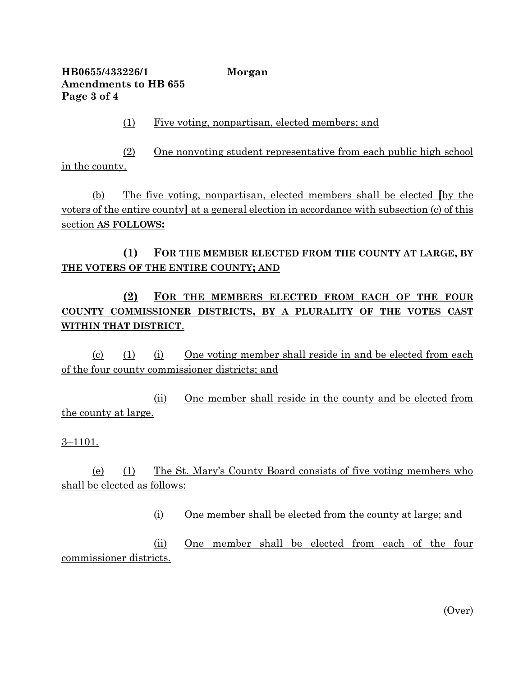**HB0655/433226/1 Morgan Amendments to HB 655 Page 3 of 4**

(1) Five voting, nonpartisan, elected members; and

(2) One nonvoting student representative from each public high school in the county.

(b) The five voting, nonpartisan, elected members shall be elected **[**by the voters of the entire county**]** at a general election in accordance with subsection (c) of this section **AS FOLLOWS:**

## **(1) FOR THE MEMBER ELECTED FROM THE COUNTY AT LARGE, BY THE VOTERS OF THE ENTIRE COUNTY; AND**

**(2) FOR THE MEMBERS ELECTED FROM EACH OF THE FOUR COUNTY COMMISSIONER DISTRICTS, BY A PLURALITY OF THE VOTES CAST WITHIN THAT DISTRICT**.

(c) (1) (i) One voting member shall reside in and be elected from each of the four county commissioner districts; and

(ii) One member shall reside in the county and be elected from the county at large.

### 3–1101.

(e) (1) The St. Mary's County Board consists of five voting members who shall be elected as follows:

(i) One member shall be elected from the county at large; and

(ii) One member shall be elected from each of the four commissioner districts.

(Over)